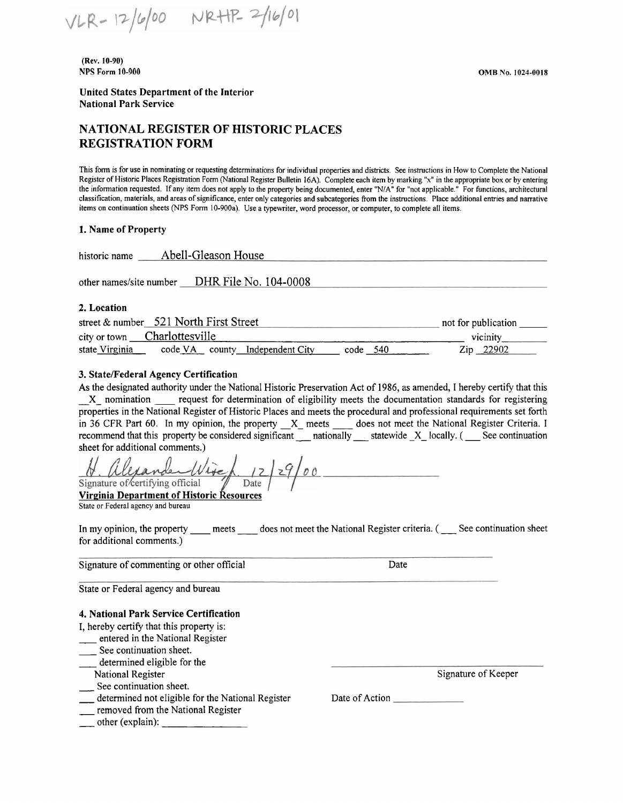VLR-12/6/00 NRHP-2/16/01

**(Rev.** I **0-90)**  NPS Form 10-900

**United States Department of the Jnterior National Park Service** 

# **NATIONAL REGISTER OF HISTORIC PLACES REGISTRATION FORM**

This fonn is for use in nominating or requesting detenninations for individual properties and districts. See instructions in How to Complete the National Register of Historic Places Registration Fonn (National Register Bulletin 16A). Complete each item by marking "x" in the appropriate box or by entering the information requested. If any item does not apply to the property being documented, enter "NIA" for "not applicable." For functions, architectural classification, materials, and areas of significance, enter only categories and subcategories from the instructions. Place additional entries and narrative items on continuation sheets (NPS Form 10-900a). Use a typewriter, word processor, or computer, to complete all items.

#### **1. Name of Property**

| Abell-Gleason House<br>historic name          |                     |
|-----------------------------------------------|---------------------|
| other names/site number DHR File No. 104-0008 |                     |
| 2. Location                                   |                     |
| street & number 521 North First Street        | not for publication |

# city or town Charlottesville vicinity vicinity vicinity vicinity vicinity vicinity vicinity vicinity vicinity vicinity vicinity vicinity vicinity vicinity vicinity vicinity vicinity vicinity vicinity vicinity vicinity vici code VA county Independent City

#### **3. State/Federal Agency Certification**

As the designated authority under the National Historic Preservation Act of 1986, as amended, I hereby certify that this \_X\_ nomination \_\_ request for determination of eligibility meets the documentation standards for registering properties in the National Register of Historic Places and meets the procedural and professional requirements set forth in 36 CFR Part 60. In my opinion, the property \_X\_ meets \_\_\_ does not meet the National Register Criteria. I recommend that this property be considered significant nationally statewide X locally. (See continuation sheet for additional comments.)

 $29/00$ Signature of certifying official

**Virginia Department of Historic Resources**  State or Federal agency and bureau

In my opinion, the property \_\_\_\_ meets \_\_\_\_ does not meet the National Register criteria. ( \_\_\_ See continuation sheet for additional comments.)

Signature of commenting or other official

Date

State or Federal agency and bureau

#### **4. National Park Service Certification**

- I, hereby certify that this property is:
- \_\_ entered in the National Register
- See continuation sheet.
- \_\_ determined eligible for the
- National Register
- See continuation sheet.
- \_ determined not eligible for the National Register
- \_ removed from the National Register
- $\Box$  other (explain):  $\Box$

Date of Action

Signature of Keeper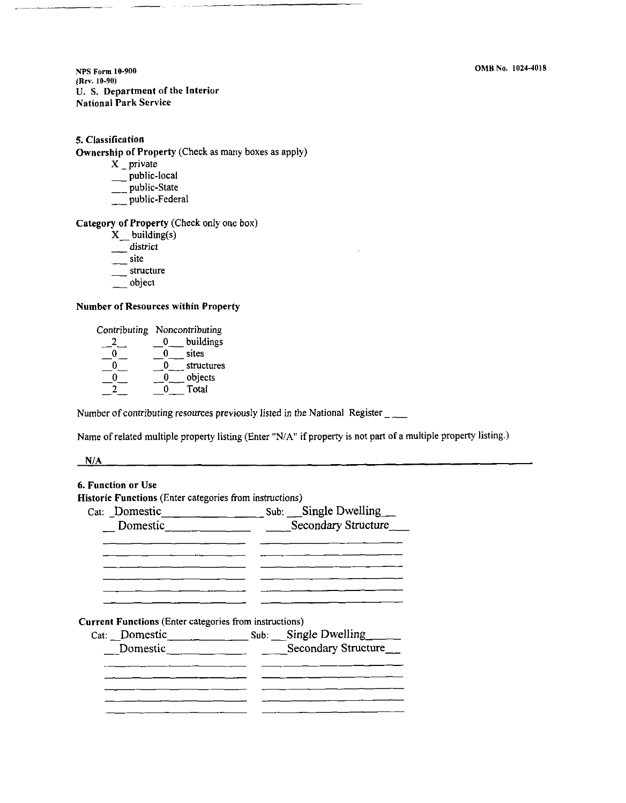**NPS Form 10-900**  (Rev. 10-90) U. S. Department of the Interior National Park Service

#### **5. Classification**

Ownership of Property (Check as many boxes as apply)

- **X** \_ private
- \_ public-local
- \_\_ public-State
- public-Federal

#### **Category of Property** (Check only one box)

- **X** building(s)
- district
- $\frac{1}{2}$  site
- \_\_\_\_ structure
- \_\_ object

#### **Number of Resources within Property**

| Contributing Noncontributing |   |            |
|------------------------------|---|------------|
|                              | 0 | buildings  |
|                              | 0 | sites      |
|                              | 0 | structures |
|                              | O | objects    |
|                              |   | Total      |

Number of contributing resources previously listed in the National Register \_\_

Name of related multiple property listing (Enter "N/A" if property is not part of a multiple property listing.)

**NIA** 

# 6. Function or Use Historic Functions (Enter categories from instructions) Cat: \_Domestic Sub: \_Single Dwelling\_ Domestic Becondary Structure  $\overline{a}$  and  $\overline{a}$  are the contract of  $\overline{a}$ <u> 1980 - Jan Barnett, mars and de film and de film and de film and de film and de film and de film and de film</u> **Current Functions** (Enter categories from instructions) Cat: \_Domestic Sub: \_Single Dwellingo\_ \_\_ Domestic Secondary Structure <u> 1980 - Jan Barbara Barbara, maso a popular popular e popular de la provincia de la provincia de la provincia </u>  $\frac{1}{2}$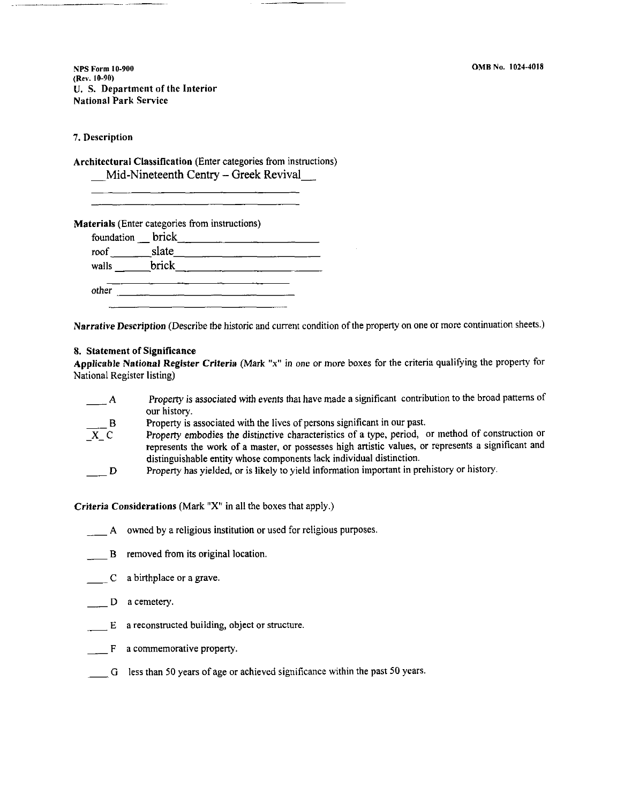**NPS Form I 0-900**  (Rev. 10-90) U. S. Department of the Interior National Park Service

7. Description

**Architectural Classification** (Enter categories from instructions) Mid-Nineteenth Centry – Greek Revival

| slate |  |  |
|-------|--|--|
| brick |  |  |
|       |  |  |

**Narrative Description** (Describe *the* historic and current condition of the property on one or more continuation sheets.)

#### **8. Statement of Significance**

**Applicable National Register Criteria** (Mark "x" in one or more boxes for the criteria qualifying the property for National Register listing)

| Property is associated with events that have made a significant contribution to the broad patterns of |
|-------------------------------------------------------------------------------------------------------|
| our history.                                                                                          |
| Property is associated with the lives of persons significant in our past.                             |

- B  $\overline{X}$   $\overline{C}$ Property embodies the distinctive characteristics of a type, period, or method of construction or represents the work of a master, or possesses high artistic values, or represents a significant and distinguishable entity whose components lack individual distinction.
- D Property has yielded, or is likely to yield information important in prehistory or history.

**Criteria Considerations** (Mark "X" in all the boxes that apply.)

- A owned by a religious institution or used for religious purposes.
- B removed from its original location.
- C a birthplace or a grave.
- D a cemetery.
- $E$  a reconstructed building, object or structure.
- $F$  a commemorative property.
- G less than 50 years of age or achieved significance within the past 50 years.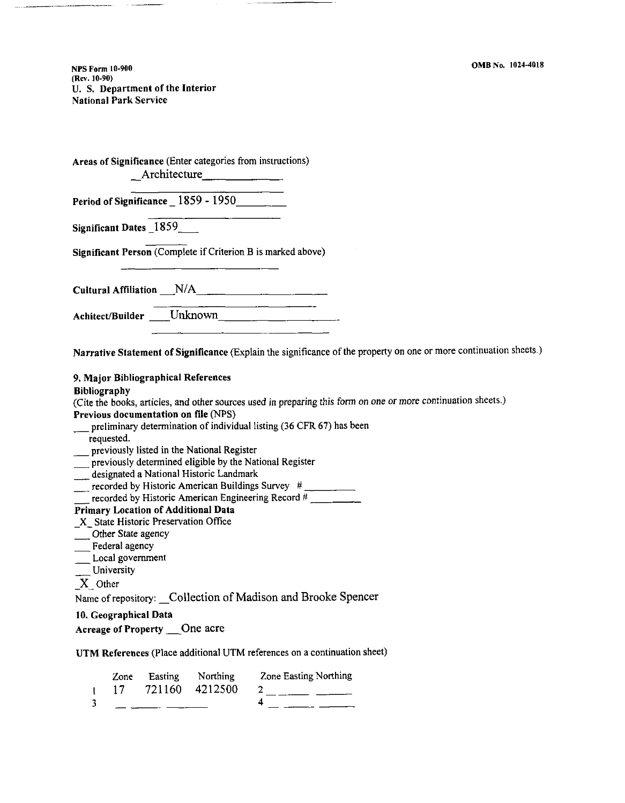**NPS Form 10-900**  (Rev. I0-90) U. S. Department of the Interior National Park Service

| Areas of Significance (Enter categories from instructions)   |
|--------------------------------------------------------------|
| Period of Significance $1859 - 1950$                         |
| Significant Dates 1859                                       |
| Significant Person (Complete if Criterion B is marked above) |
| Cultural Affiliation N/A                                     |
| Achitect/Builder Unknown                                     |

**Narrative Statement of Significance** (Explain the significance of the property on one or more continuation sheets.)

**9. Major Bibliographical References** 

**Bibliography** 

(Cite the books, articles, and other sources used in preparing this form on one or more continuation sheets.) **Previous documentation on file** (NPS)

- preliminary determination of individual listing (36 CFR 67) has been
- requested.
- previously listed in the National Register
- previously determined eligible by the National Register
- designated a National Historic Landmark
- $\frac{1}{\sqrt{1-\frac{1}{2}}\sqrt{1-\frac{1}{2}}\sqrt{1-\frac{1}{2}}\sqrt{1-\frac{1}{2}}}}$  recorded by Historic American Buildings Survey #
- $\overline{\phantom{a}}$  recorded by Historic American Engineering Record #

### **Primary Location of Additional Data**

- \_ **X** \_ State Historic Preservation Office
- \_ Other State agency
- $\equiv$ Federal agency
- $\sum$  Local government
- University
- **X** Other

Name of repository: Collection of Madison and Brooke Spencer

#### **10. Geographical Data**

|  |  | <b>Acreage of Property</b> | One acre |  |
|--|--|----------------------------|----------|--|
|--|--|----------------------------|----------|--|

**UTM References** (Place additional UTM references on a continuation sheet)

| Zone            | Easting Northing | <b>Zone Easting Northing</b> |
|-----------------|------------------|------------------------------|
| $\overline{17}$ | 721160 4212500   |                              |
|                 |                  |                              |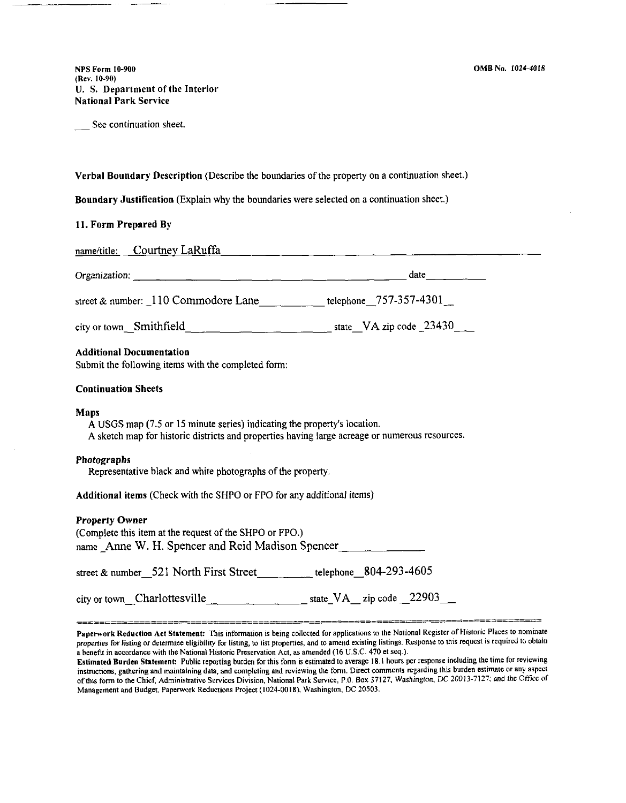NPS Form I0-900 **(Rev.** 10-90) **U. S. Department** of **the Interior National Park Service** 

See continuation sheet.

**Verbal Boundary Description** (Describe the boundaries of the property on a continuation sheet.)

**Boundary Justification** (Explain why the boundaries were selected on a continuation sheet.)

#### **11. Form Prepared By**

| name/title: Courtney LaRuffa                                                                                                                                                       |                     |
|------------------------------------------------------------------------------------------------------------------------------------------------------------------------------------|---------------------|
|                                                                                                                                                                                    | $date$ <sub>1</sub> |
| street & number: $\_110$ Commodore Lane _______________ telephone 757-357-4301_                                                                                                    |                     |
|                                                                                                                                                                                    |                     |
| <b>Additional Documentation</b><br>Submit the following items with the completed form:                                                                                             |                     |
| <b>Continuation Sheets</b>                                                                                                                                                         |                     |
| Maps<br>A USGS map (7.5 or 15 minute series) indicating the property's location.<br>A sketch map for historic districts and properties having large acreage or numerous resources. |                     |
| <b>Photographs</b><br>Representative black and white photographs of the property.                                                                                                  |                     |
| Additional items (Check with the SHPO or FPO for any additional items)                                                                                                             |                     |
| <b>Property Owner</b><br>(Complete this item at the request of the SHPO or FPO.)<br>name Anne W. H. Spencer and Reid Madison Spencer                                               |                     |

street & number\_521 North First Street telephone 804-293-4605

| state_VA_zip code $\_22903$ __<br>city or town Charlottesville |
|----------------------------------------------------------------|
|----------------------------------------------------------------|

Paperwork Reduction Act Statement: This information is being collected for applications to the National Register of Historic Places to nominate properties for listing or determine eligibility for listing, to list properties, and to amend existing listings. Response to this request is required to obtain a benefit in accordance with the National Historic Preservation Act, as amended (16 U.S.C. 470 et seq.).

Estimated Burden Statement: Public reporting burden for this form is estimated to average 18. l hours per response including the time for reviewing instructions, gathering and maintaining data, and completing and reviewing the form. Direct comments regarding this burden estimate or any aspect of this form to the Chief, Administrative Services Division, National Park Service, P.O. Box 37127, Washington, DC 20013-7127; and the Office of Management and Budget. Paperwork Reductions Project (1024-0018), Washington. DC 20503.

==================-=====~==========;==-=============-========-===--====-----==---=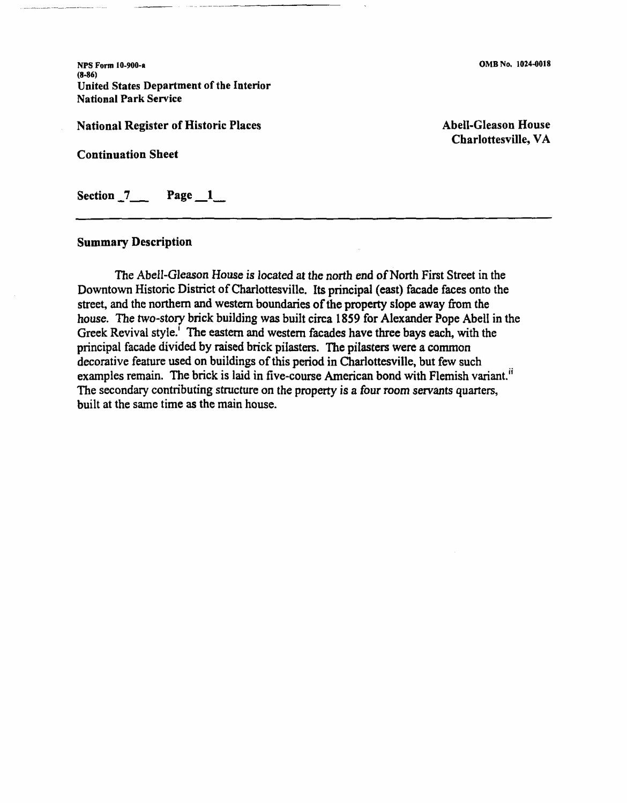NPS Form I 0-900-a **(8-86)**  United States Department of the Interior National Park Service

National Register of Historic Places

Continuation Sheet

Section 7\_\_\_ Page 1\_\_

### **Summary Description**

The Abell-Gleason House *is* located at the north end of North First Street in the Downtown Historic District of Charlottesville. Its principal (east) facade faces onto the street, and the northern and western boundaries of the property slope away from the house. The two-story brick building was built circa 1859 for Alexander Pope Abell in the Greek Revival style.' The eastern and western facades have three bays each, with the principal facade divided by raised brick pilasters. The pilasters were a common decorative feature used on buildings of this period in Charlottesville, but few such examples remain. The brick is laid in five-course American bond with Flemish variant.<sup>ii</sup> The secondary contributing structure on the property is a four room servants quarters, built at the same time as the main house.

Abell-Gleason House Charlottesville, VA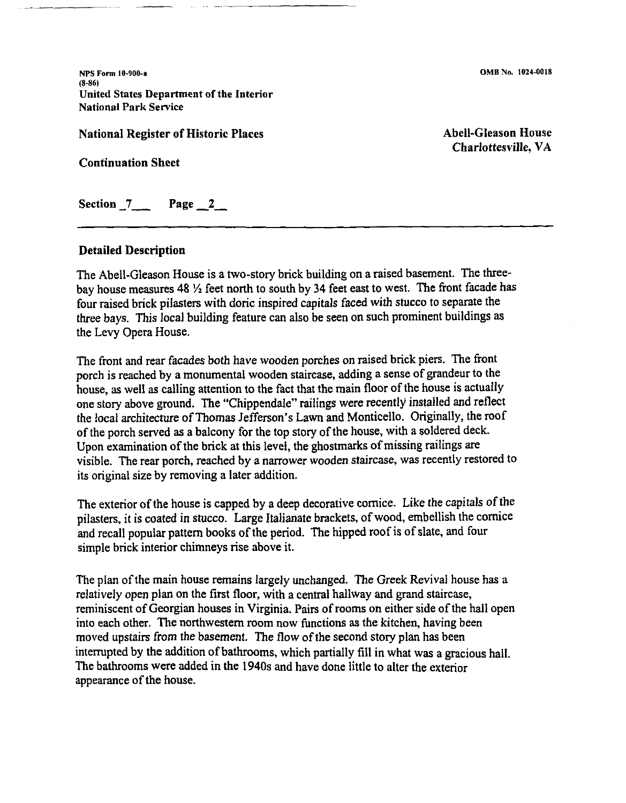**NPS Form 10-900-a**  (8-86) United States Department of the Interior National Park Service

National Register of Historic Places

Continuation Sheet

Abell-Gleason House Charlottesville, VA

Section  $7$  Page  $2$ 

# **Detailed Description**

The Abell-Gleason House is a two-story brick building on a raised basement. The threebay house measures 48 *Y,* feet north to south by 34 feet east to west. The front facade has four raised brick pilasters with doric inspired capitals faced with stucco to separate the three bays. This local building feature can also be seen on such prominent buildings as the Levy Opera House.

The front and rear facades both have wooden porches on raised brick piers. The front porch is reached by a monumental wooden staircase, adding a sense of grandeur to the house, as well as calling attention to the fact that the main floor of the house is actually one story above ground. The "Chippendale" railings were recently installed and reflect the local architecture of Thomas Jefferson's Lawn and Monticello. Originally, the roof of the porch served as a balcony for the top story of the house, with a soldered deck. Upon examination of the brick at this level, the ghostmarks of missing railings are visible. The rear porch, reached by a narrower wooden staircase, was recently restored to its original size by removing a later addition.

The exterior of the house is capped by a deep decorative cornice. Like the capitals of the pilasters, it is coated in stucco. Large Italianate brackets, of wood, embellish the cornice and recall popular pattern books of the period. The hipped roofis of slate, and four simple brick interior chimneys rise above it.

The plan of the main house remains largely unchanged. The Greek Revival house has a relatively open plan on the first floor, with a central hallway and grand staircase, reminiscent of Georgian houses in Virginia. Pairs of rooms on either side of the hall open into each other. The northwestern room now functions as the kitchen, having been moved upstairs from the basement. The flow of the second story plan has been interrupted by the addition of bathrooms, which partially fill in what was a gracious hall. The bathrooms were added in the 1940s and have done little to alter the exterior appearance of the house.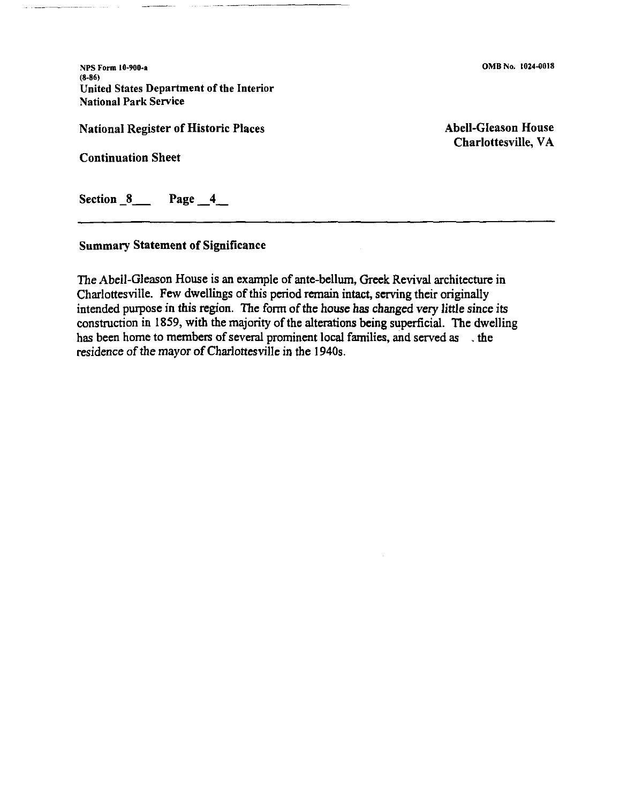**NPS Form 10-900-a**  (8-86) United States Department of the Interior National Park Service

National Register of Historic Places

Continuation Sheet

Abell-Gleason House Charlottesville, VA

Section  $8 \qquad$  Page  $4 \qquad$ 

# Summary Statement of Significance

The Abell-Gleason House is an example of ante-bellum, Greek Revival architecture in Charlottesville. Few dwellings of this period remain intact, serving their originally intended purpose in this region. The form of the house has changed very little since its construction in 1859, with the majority of the alterations being superficial. The dwelling has been home to members of several prominent local families, and served as the residence of the mayor of Charlottesville in the 1940s.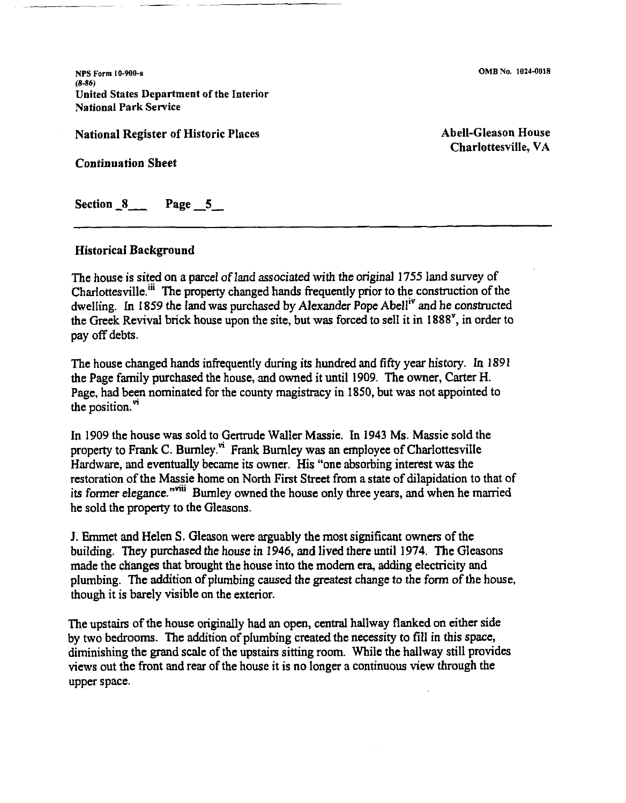**NPS Form 10-900-a**  (8-86) United States Department of the Interior National Park Service

National Register of Historic Places

Continuation Sheet

Abell-Gleason House Charlottesville, VA

Section 8 Page 5

### Historical Background

The house is sited on a parcel of land associated with the original 1755 land survey of Charlottesville.<sup>iii</sup> The property changed hands frequently prior to the construction of the dwelling. In 1859 the land was purchased by Alexander Pope Abelliv and he constructed the Greek Revival brick house upon the site, but was forced to sell it in 1888', in order to pay off debts.

The house changed hands infrequently during its hundred and fifty year history. In 1891 the Page family purchased the house, and owned it until 1909. The owner, Carter H. Page, had been nominated for the county magistracy in 1850, but was not appointed to the position. $"$ 

In 1909 the house was sold to Gertrude Waller Massie. In 1943 Ms. Massie sold the property to Frank C. Burnley.<sup>vi</sup> Frank Burnley was an employee of Charlottesville Hardware, and eventually became its owner. His "one absorbing interest was the restoration of the Massie home on North First Street from a state of dilapidation to that of its former elegance."<sup>viii</sup> Burnley owned the house only three years, and when he married he sold the property to the Gleasons.

J. Emmet and Helen S. Gleason were arguably the most significant owners of the building. They purchased the house in 1946, and lived there until 1974. The Gleasons made the changes that brought the house into the modern era, adding electricity and plumbing. The addition of plumbing caused the greatest change to the form of the house, though it is barely visible on the exterior.

The upstairs of the house originally had an open, central hallway flanked on either side by two bedrooms. The addition of plumbing created the necessity to fill in this space, diminishing the grand scale of the upstairs sitting room. While the hallway still provides views out the front and rear of the house it is no longer a continuous view through the upper space.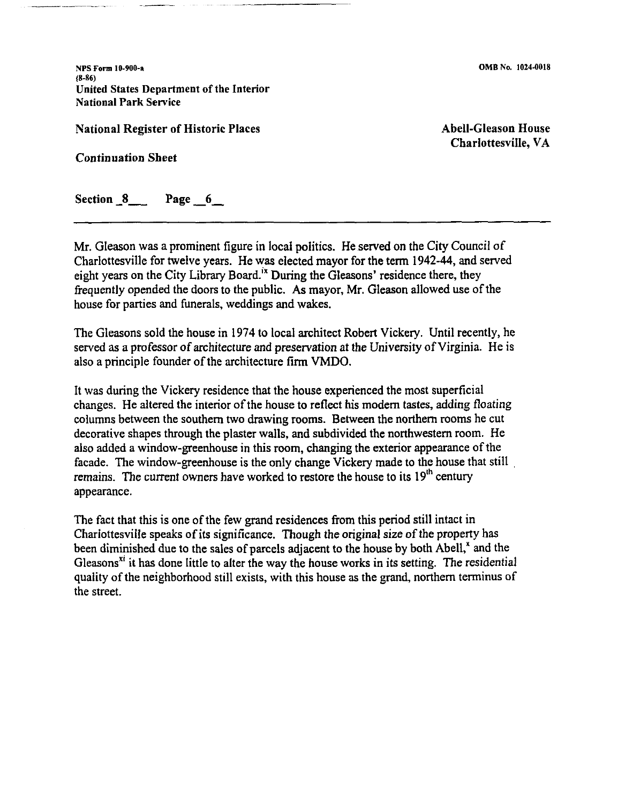NPS Form I 0-900-a (8-86) United States Department of the Interior **National Park Service** 

National Register of Historic Places

Continuation Sheet

Abell-Gleason House Charlottesville, VA

Section 8 Page 6

Mr. Gleason was a prominent figure in local politics. He served on the City Council of Charlottesville for twelve years. He was elected mayor for the term 1942-44, and served eight years on the City Library Board.<sup> $\dot{x}$ </sup> During the Gleasons' residence there, they frequently opended the doors to the public. As mayor, Mr. Gleason allowed use of the house for parties and funerals, weddings and wakes.

The Gleasons sold the house in 1974 to local architect Robert Vickery. Until recently, he served as a professor of architecture and preservation at the University of Virginia. He is also a principle founder of the architecture firm VMDO.

It was during the Vickery residence that the house experienced the most superficial changes. He altered the interior of the house to reflect his modern tastes, adding floating columns between the southern two drawing rooms. Between the northern rooms he cut decorative shapes through the plaster walls, and subdivided the northwestern room. He also added a window-greenhouse in this room, changing the exterior appearance of the facade. The window-greenhouse is the only change Vickery made to the house that still . remains. The current owners have worked to restore the house to its  $19<sup>th</sup>$  century appearance.

The fact that this is one of the few grand residences from this period still intact in Charlottesville speaks of its significance. Though the original size of the property has been diminished due to the sales of parcels adjacent to the house by both Abell,<sup>x</sup> and the Gleasons<sup> $xi$ </sup> it has done little to alter the way the house works in its setting. The residential quality of the neighborhood still exists, with this house as the grand, northern terminus of the street.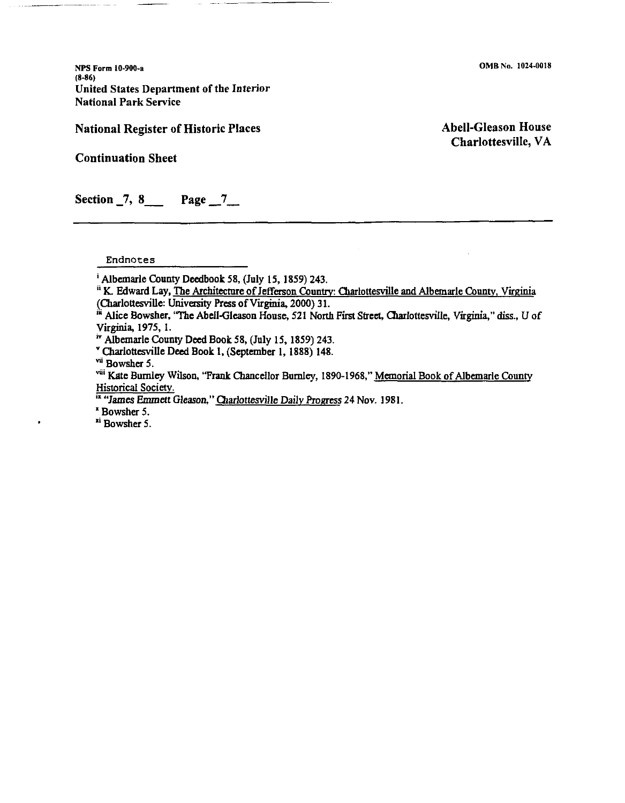**NPS Form 10-900-a**  (8-86) United States Department of the Interior National Park Service

### National Register of Historic Places

Abell-Gleason House Charlottesville, VA

Continuation Sheet

Section  $\overline{7}$ , 8 Page  $\overline{7}$ 

Endnotes

- ; Albemarle County Deedbook 58, (July 15, 1859) 243.
- <sup>ii</sup> K. Edward Lay, The Architecture of Jefferson Country: Charlottesville and Albemarle County, Virginia (Charlottesville: University Press of Virginia, 2000) 31.
- •• Alice Bowsher, 'The Abell-Gleason House, 521 North First Street, Cliarlottesville, Virginia," diss., U of Virginia, 1975, I.

<sup>iv</sup> Albemarle County Deed Book 58, (July 15, 1859) 243.

• Charlottesville Deed Book l, (September l, 1888) 148.

vii Bowsher 5.

viii Kate Burnley Wilson, "Frank Chancellor Burnley, 1890-1968," Memorial Book of Albemarle County Historical Society.

<sup>Ix</sup> "James Emmett Gleason," Charlottesville Daily Progress 24 Nov. 1981.

'Bowsher 5.

<sup>xi</sup> Bowsher 5.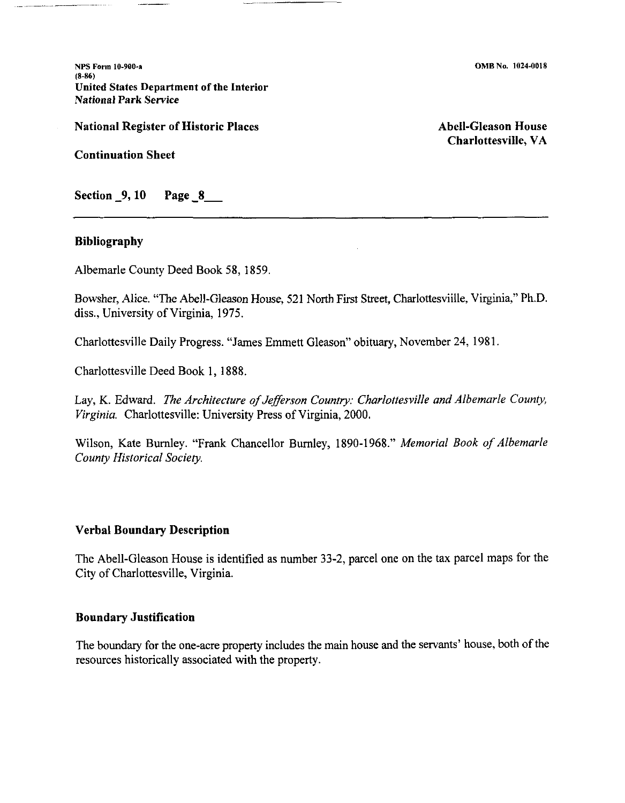**NPS Form 10-900-a**  (8-86) **United States Department of the Interior National Park Service** 

**National Register of Historic Places** 

**Abell-Gleason House Charlottesville, VA** 

**Continuation Sheet** 

**Section \_9, 10 Page \_8\_** 

## **Bibliography**

Albemarle County Deed Book 58, 1859.

Bowsher, Alice. "The Abell-Gleason House, 521 North First Street, Charlottesviille, Virginia," Ph.D. diss., University of Virginia, 1975.

Charlottesville Daily Progress. "James Emmett Gleason" obituary, November 24, 1981.

Charlottesville Deed Book 1, 1888.

Lay, K. Edward. *The Architecture of Jefferson Country: Charlottesville and Albemarle County, Virginia.* Charlottesville: University Press of Virginia, 2000.

Wilson, Kate Burnley. "Frank Chancellor Burnley, 1890-1968." *Memorial Book of Albemarle County Historical Society.* 

### **Verbal Boundary Description**

The Abell-Gleason House is identified as number 33-2, parcel one on the tax parcel maps for the City of Charlottesville, Virginia.

# **Boundary Justification**

The boundary for the one-acre property includes the main house and the servants' house, both of the resources historically associated with the property.

**0MB** No. 1024-0018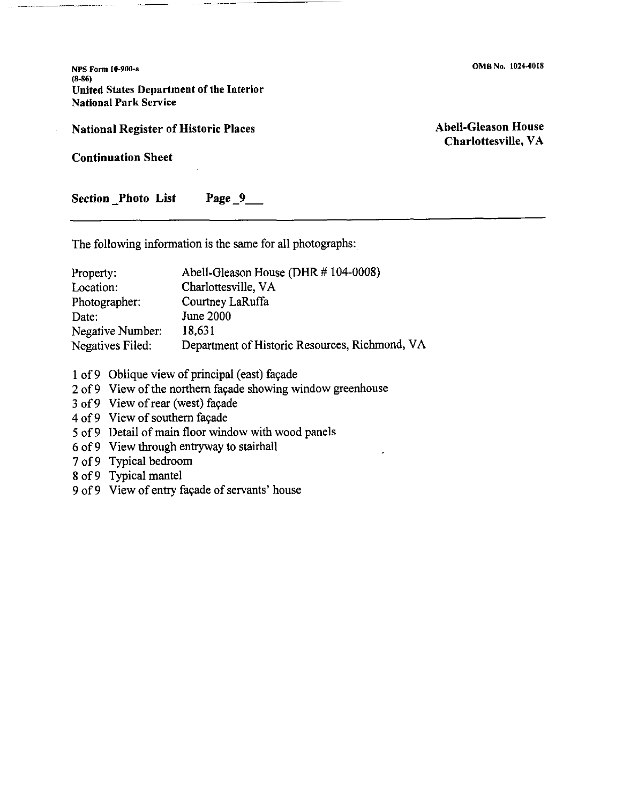**NPS Form f0.900-a**  (8-86) United States Department of the Interior National Park Service

### **National Register of Historic Places**

**Abell-Gleason House Charlottesville, VA** 

**0MB** No. 1024-0018

**Continuation Sheet** 

Section Photo List Page 9

The following information is the same for all photographs:

| Property:        | Abell-Gleason House (DHR # 104-0008)           |
|------------------|------------------------------------------------|
| Location:        | Charlottesville, VA                            |
| Photographer:    | Courtney LaRuffa                               |
| Date:            | June 2000                                      |
| Negative Number: | 18.631                                         |
| Negatives Filed: | Department of Historic Resources, Richmond, VA |

1 of 9 Oblique view of principal (east) façade

2 of 9 View of the northern façade showing window greenhouse

3 of 9 View of rear (west) façade

4 of 9 View of southern façade

5 of 9 Detail of main floor window with wood panels

6 of9 View through entryway to stairhall

7 of 9 Typical bedroom

8 of 9 Typical mantel

9 of 9 View of entry façade of servants' house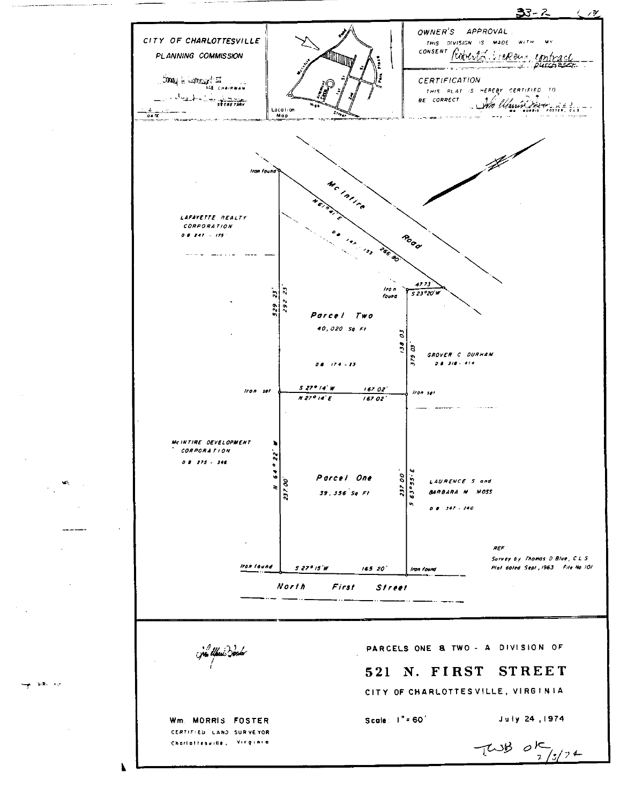

~--

 $\mathbf{L} = -\mathbf{v}$